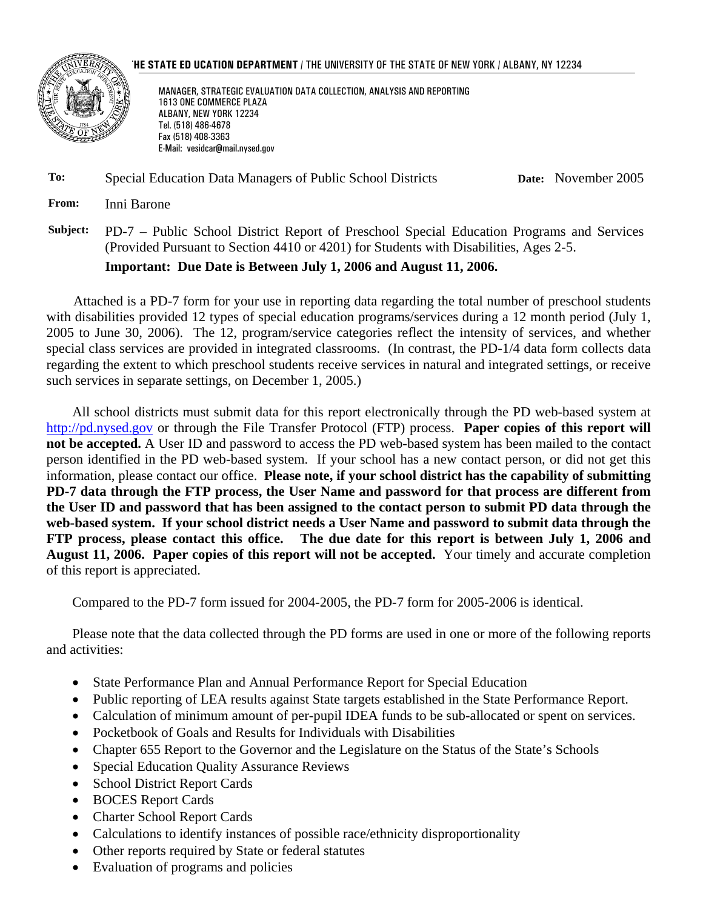

### **THE STATE ED UCATION DEPARTMENT** / THE UNIVERSITY OF THE STATE OF NEW YORK / ALBANY, NY 12234

MANAGER, STRATEGIC EVALUATION DATA COLLECTION, ANALYSIS AND REPORTING 1613 ONE COMMERCE PLAZA ALBANY, NEW YORK 12234 Tel. (518) 486-4678 Fax (518) 408-3363 E-Mail: vesidcar@mail.nysed.gov

### **To:** Special Education Data Managers of Public School Districts **Date:** November 2005

**From:** Inni Barone

**Subject:** PD-7 – Public School District Report of Preschool Special Education Programs and Services (Provided Pursuant to Section 4410 or 4201) for Students with Disabilities, Ages 2-5.

### **Important: Due Date is Between July 1, 2006 and August 11, 2006.**

Attached is a PD-7 form for your use in reporting data regarding the total number of preschool students with disabilities provided 12 types of special education programs/services during a 12 month period (July 1, 2005 to June 30, 2006). The 12, program/service categories reflect the intensity of services, and whether special class services are provided in integrated classrooms. (In contrast, the PD-1/4 data form collects data regarding the extent to which preschool students receive services in natural and integrated settings, or receive such services in separate settings, on December 1, 2005.)

All school districts must submit data for this report electronically through the PD web-based system at http://pd.nysed.gov or through the File Transfer Protocol (FTP) process. **Paper copies of this report will not be accepted.** A User ID and password to access the PD web-based system has been mailed to the contact person identified in the PD web-based system. If your school has a new contact person, or did not get this information, please contact our office. **Please note, if your school district has the capability of submitting PD-7 data through the FTP process, the User Name and password for that process are different from the User ID and password that has been assigned to the contact person to submit PD data through the web-based system. If your school district needs a User Name and password to submit data through the FTP process, please contact this office. The due date for this report is between July 1, 2006 and August 11, 2006. Paper copies of this report will not be accepted.** Your timely and accurate completion of this report is appreciated.

Compared to the PD-7 form issued for 2004-2005, the PD-7 form for 2005-2006 is identical.

Please note that the data collected through the PD forms are used in one or more of the following reports and activities:

- State Performance Plan and Annual Performance Report for Special Education
- Public reporting of LEA results against State targets established in the State Performance Report.
- Calculation of minimum amount of per-pupil IDEA funds to be sub-allocated or spent on services.
- Pocketbook of Goals and Results for Individuals with Disabilities
- Chapter 655 Report to the Governor and the Legislature on the Status of the State's Schools
- Special Education Quality Assurance Reviews
- School District Report Cards
- BOCES Report Cards
- Charter School Report Cards
- Calculations to identify instances of possible race/ethnicity disproportionality
- Other reports required by State or federal statutes
- Evaluation of programs and policies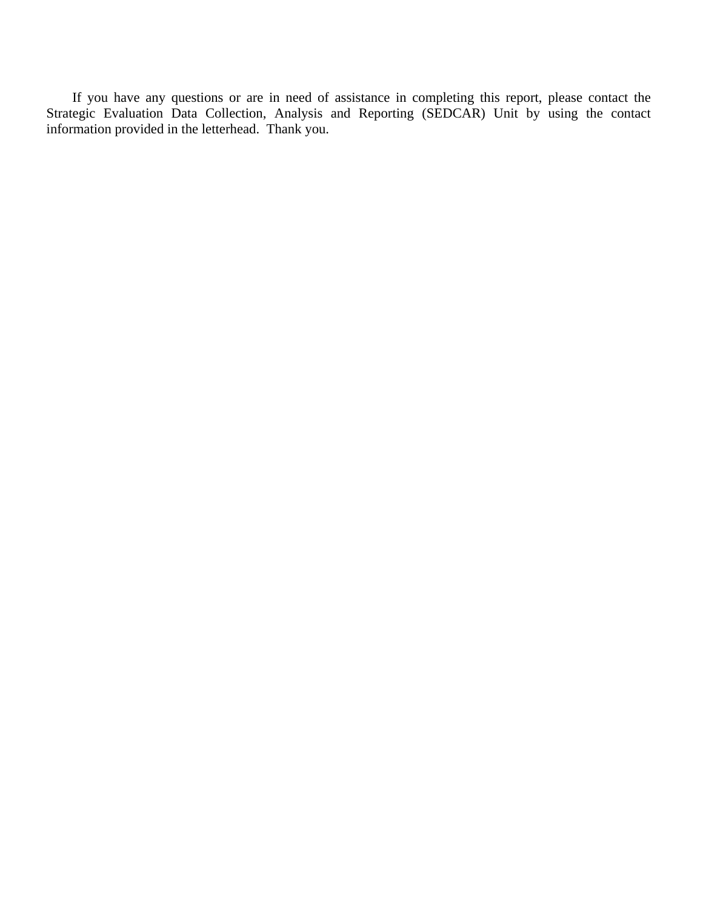If you have any questions or are in need of assistance in completing this report, please contact the Strategic Evaluation Data Collection, Analysis and Reporting (SEDCAR) Unit by using the contact information provided in the letterhead. Thank you.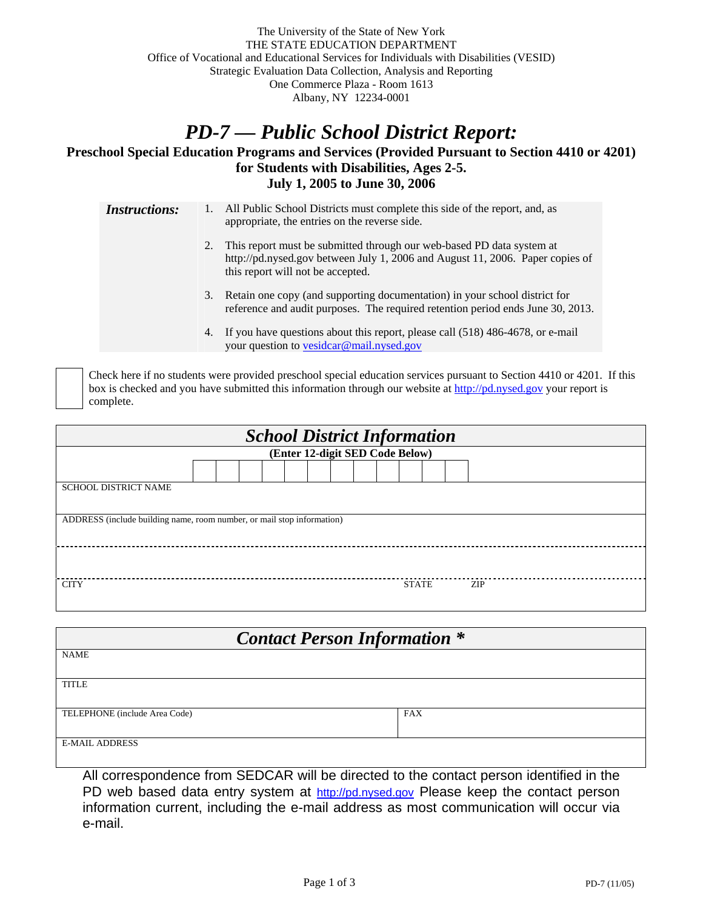## *PD-7 — Public School District Report:*

### **Preschool Special Education Programs and Services (Provided Pursuant to Section 4410 or 4201) for Students with Disabilities, Ages 2-5. July 1, 2005 to June 30, 2006**

*Instructions:* 1. All Public School Districts must complete this side of the report, and, as appropriate, the entries on the reverse side. 2. This report must be submitted through our web-based PD data system at http://pd.nysed.gov between July 1, 2006 and August 11, 2006. Paper copies of this report will not be accepted. 3. Retain one copy (and supporting documentation) in your school district for reference and audit purposes. The required retention period ends June 30, 2013. 4. If you have questions about this report, please call (518) 486-4678, or e-mail your question to vesidcar@mail.nysed.gov

 Check here if no students were provided preschool special education services pursuant to Section 4410 or 4201. If this box is checked and you have submitted this information through our website at http://pd.nysed.gov your report is complete.

| <b>School District Information</b>                                     |  |  |  |  |  |  |  |  |
|------------------------------------------------------------------------|--|--|--|--|--|--|--|--|
| (Enter 12-digit SED Code Below)                                        |  |  |  |  |  |  |  |  |
|                                                                        |  |  |  |  |  |  |  |  |
| <b>SCHOOL DISTRICT NAME</b>                                            |  |  |  |  |  |  |  |  |
|                                                                        |  |  |  |  |  |  |  |  |
| ADDRESS (include building name, room number, or mail stop information) |  |  |  |  |  |  |  |  |
|                                                                        |  |  |  |  |  |  |  |  |
|                                                                        |  |  |  |  |  |  |  |  |
|                                                                        |  |  |  |  |  |  |  |  |
| <b>CITY</b><br><b>STATE</b><br>ZIP                                     |  |  |  |  |  |  |  |  |

| <b>Contact Person Information *</b> |            |  |  |  |  |
|-------------------------------------|------------|--|--|--|--|
| <b>NAME</b>                         |            |  |  |  |  |
| <b>TITLE</b>                        |            |  |  |  |  |
|                                     |            |  |  |  |  |
| TELEPHONE (include Area Code)       | <b>FAX</b> |  |  |  |  |
| <b>E-MAIL ADDRESS</b>               |            |  |  |  |  |

All correspondence from SEDCAR will be directed to the contact person identified in the PD web based data entry system at http://pd.nysed.gov Please keep the contact person information current, including the e-mail address as most communication will occur via e-mail.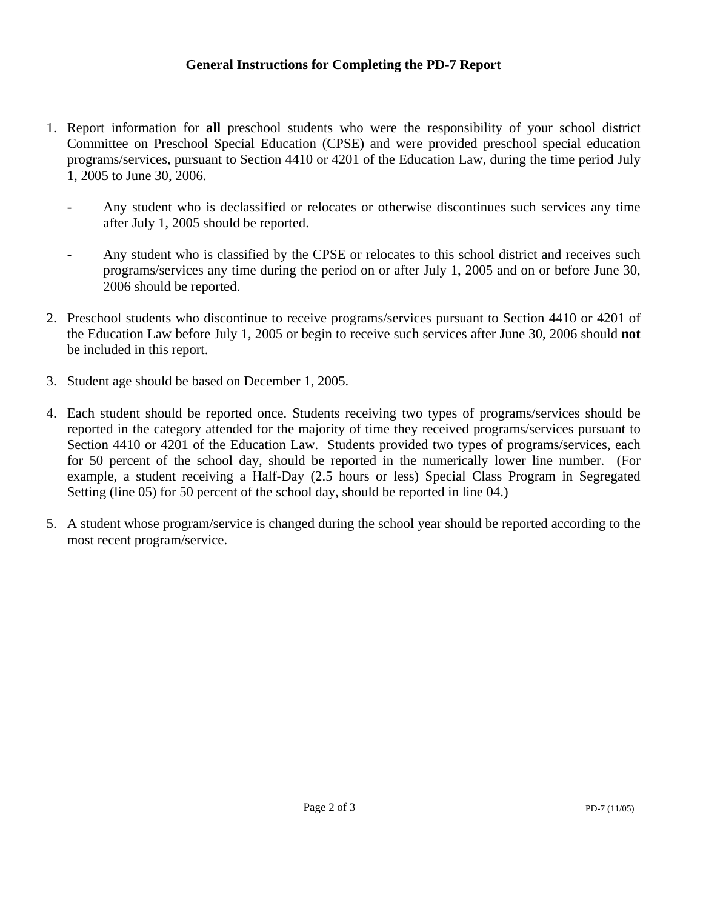- 1. Report information for **all** preschool students who were the responsibility of your school district Committee on Preschool Special Education (CPSE) and were provided preschool special education programs/services, pursuant to Section 4410 or 4201 of the Education Law, during the time period July 1, 2005 to June 30, 2006.
	- Any student who is declassified or relocates or otherwise discontinues such services any time after July 1, 2005 should be reported.
	- Any student who is classified by the CPSE or relocates to this school district and receives such programs/services any time during the period on or after July 1, 2005 and on or before June 30, 2006 should be reported.
- 2. Preschool students who discontinue to receive programs/services pursuant to Section 4410 or 4201 of the Education Law before July 1, 2005 or begin to receive such services after June 30, 2006 should **not** be included in this report.
- 3. Student age should be based on December 1, 2005.
- 4. Each student should be reported once. Students receiving two types of programs/services should be reported in the category attended for the majority of time they received programs/services pursuant to Section 4410 or 4201 of the Education Law. Students provided two types of programs/services, each for 50 percent of the school day, should be reported in the numerically lower line number. (For example, a student receiving a Half-Day (2.5 hours or less) Special Class Program in Segregated Setting (line 05) for 50 percent of the school day, should be reported in line 04.)
- 5. A student whose program/service is changed during the school year should be reported according to the most recent program/service.